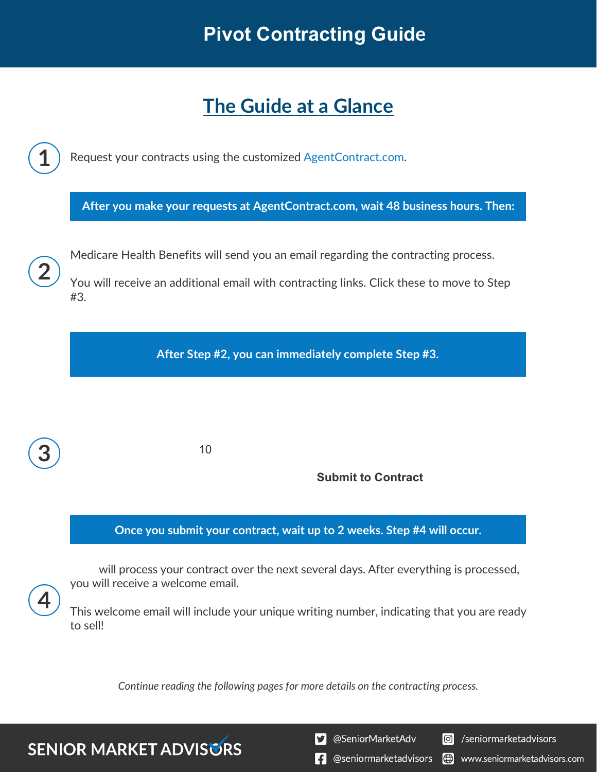# **The Guide at a Glance**



*Continue reading the following pages for more details on the contracting process.*

**SENIOR MARKET ADVISURS** 

S @SeniorMarketAdv

Seniormarketadvisors

**1** @seniormarketadvisors (.) www.seniormarketadvisors.com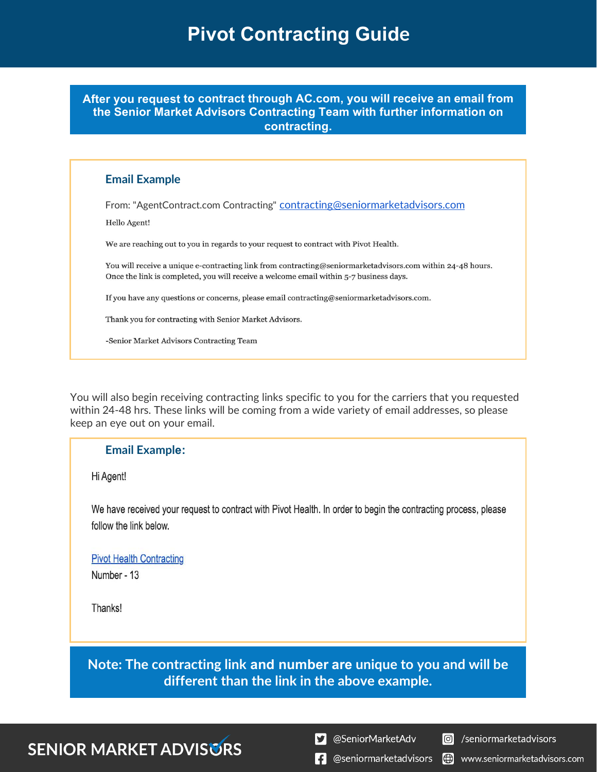**After you request to contract through AC.com, you will receive an email from the Senior Market Advisors Contracting Team with further information on contracting.**

### **Email Example**

From: "AgentContract.com Contracting" [contracting@seniormarketadvisors.com](mailto:contracting@seniormarketadvisors.com) Hello Agent!

We are reaching out to you in regards to your request to contract with Pivot Health.

You will receive a unique e-contracting link from contracting@seniormarketadvisors.com within 24-48 hours. Once the link is completed, you will receive a welcome email within 5-7 business days.

If you have any questions or concerns, please email contracting@seniormarketadvisors.com.

Thank you for contracting with Senior Market Advisors.

-Senior Market Advisors Contracting Team

You will also begin receiving contracting links specific to you for the carriers that you requested within 24-48 hrs. These links will be coming from a wide variety of email addresses, so please keep an eye out on your email.

### **Email Example:**

Hi Agent!

We have received your request to contract with Pivot Health. In order to begin the contracting process, please follow the link below.

### **Pivot Health Contracting**

Number - 13

Thanks!

**Note: The contracting link and number are unique to you and will be different than the link in the above example.**

## **SENIOR MARKET ADVISURS**

S @SeniorMarketAdv

C /seniormarketadvisors

**f** @seniormarketadvisors

(.) www.seniormarketadvisors.com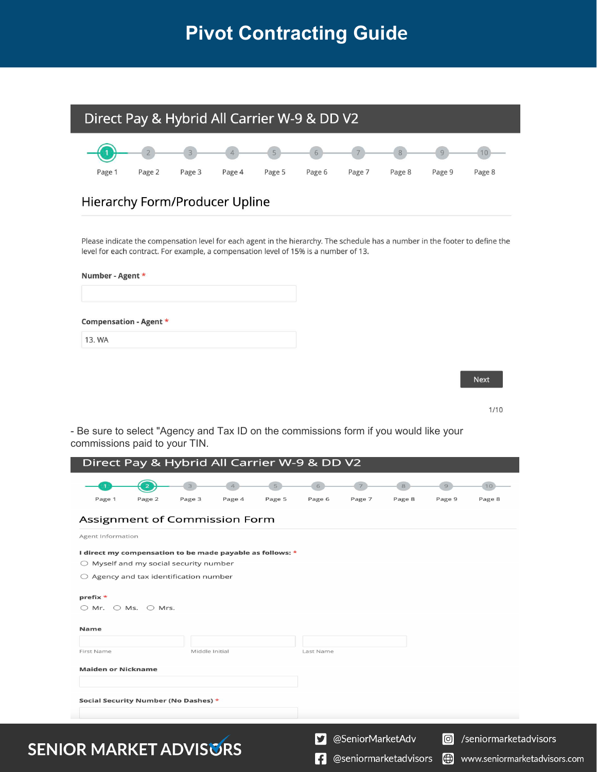

Please indicate the compensation level for each agent in the hierarchy. The schedule has a number in the footer to define the level for each contract. For example, a compensation level of 15% is a number of 13.

| Number - Agent * |                        |  |  |  |  |  |
|------------------|------------------------|--|--|--|--|--|
|                  | Compensation - Agent * |  |  |  |  |  |
| 13. WA           |                        |  |  |  |  |  |

**SENIC** 

Next

 $1/10$ 

- Be sure to select "Agency and Tax ID on the commissions form if you would like your commissions paid to your TIN.

|                                                           | Direct Pay & Hybrid All Carrier W-9 & DD V2                                                        |                |        |        |                        |                  |                       |                       |                       |                              |
|-----------------------------------------------------------|----------------------------------------------------------------------------------------------------|----------------|--------|--------|------------------------|------------------|-----------------------|-----------------------|-----------------------|------------------------------|
| Page 1                                                    | $\overline{\mathbf{z}}$<br>Page 2                                                                  | Page 3         | Page 4 | Page 5 | Page 6                 | Page 7           | Page 8                | Page 9                | 10<br>Page 8          |                              |
| Assignment of Commission Form<br>Agent Information        |                                                                                                    |                |        |        |                        |                  |                       |                       |                       |                              |
| I direct my compensation to be made payable as follows: * | $\bigcirc$ Myself and my social security number<br>$\bigcirc$ Agency and tax identification number |                |        |        |                        |                  |                       |                       |                       |                              |
| prefix *                                                  | $\bigcirc$ Mr. $\bigcirc$ Ms. $\bigcirc$ Mrs.                                                      |                |        |        |                        |                  |                       |                       |                       |                              |
| <b>Name</b><br>First Name                                 |                                                                                                    | Middle Initial |        |        | Last Name              |                  |                       |                       |                       |                              |
| <b>Maiden or Nickname</b>                                 |                                                                                                    |                |        |        |                        |                  |                       |                       |                       |                              |
| Social Security Number (No Dashes) *                      |                                                                                                    |                |        |        |                        |                  |                       |                       |                       |                              |
| <b>DR MARKET ADVISGRS</b>                                 |                                                                                                    |                |        |        | Y                      | @SeniorMarketAdv |                       | $ \circlearrowright $ | /seniormarketadvisors |                              |
|                                                           |                                                                                                    |                |        |        | $\left  \cdot \right $ |                  | @seniormarketadvisors | ⊕                     |                       | www.seniormarketadvisors.com |